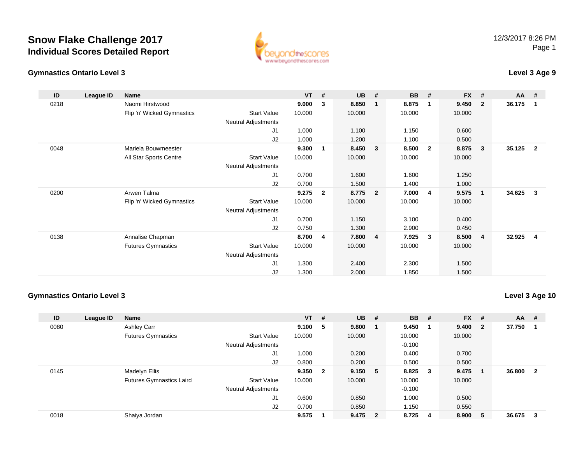

### **Gymnastics Ontario Level 3**

## **Level 3 Age 9**

| ID   | League ID | <b>Name</b>                |                            | $VT$ # |                | <b>UB</b> | #                       | <b>BB</b> | #              | <b>FX</b> | #                       | <b>AA</b> | #              |
|------|-----------|----------------------------|----------------------------|--------|----------------|-----------|-------------------------|-----------|----------------|-----------|-------------------------|-----------|----------------|
| 0218 |           | Naomi Hirstwood            |                            | 9.000  | 3              | 8.850     | 1                       | 8.875     | -1             | 9.450     | $\overline{2}$          | 36.175    | -1             |
|      |           | Flip 'n' Wicked Gymnastics | Start Value                | 10.000 |                | 10.000    |                         | 10.000    |                | 10.000    |                         |           |                |
|      |           |                            | <b>Neutral Adjustments</b> |        |                |           |                         |           |                |           |                         |           |                |
|      |           |                            | J <sub>1</sub>             | 1.000  |                | 1.100     |                         | 1.150     |                | 0.600     |                         |           |                |
|      |           |                            | J2                         | 1.000  |                | 1.200     |                         | 1.100     |                | 0.500     |                         |           |                |
| 0048 |           | Mariela Bouwmeester        |                            | 9.300  | 1              | 8.450     | $\overline{\mathbf{3}}$ | 8.500     | $\overline{2}$ | 8.875     | -3                      | 35.125    | $\overline{2}$ |
|      |           | All Star Sports Centre     | Start Value                | 10.000 |                | 10.000    |                         | 10.000    |                | 10.000    |                         |           |                |
|      |           |                            | <b>Neutral Adjustments</b> |        |                |           |                         |           |                |           |                         |           |                |
|      |           |                            | J <sub>1</sub>             | 0.700  |                | 1.600     |                         | 1.600     |                | 1.250     |                         |           |                |
|      |           |                            | J2                         | 0.700  |                | 1.500     |                         | 1.400     |                | 1.000     |                         |           |                |
| 0200 |           | Arwen Talma                |                            | 9.275  | $\mathbf{2}$   | 8.775     | $\overline{\mathbf{2}}$ | 7.000     | $\overline{4}$ | 9.575     | $\overline{\mathbf{1}}$ | 34.625    | 3              |
|      |           | Flip 'n' Wicked Gymnastics | <b>Start Value</b>         | 10.000 |                | 10.000    |                         | 10.000    |                | 10.000    |                         |           |                |
|      |           |                            | <b>Neutral Adjustments</b> |        |                |           |                         |           |                |           |                         |           |                |
|      |           |                            | J <sub>1</sub>             | 0.700  |                | 1.150     |                         | 3.100     |                | 0.400     |                         |           |                |
|      |           |                            | J2                         | 0.750  |                | 1.300     |                         | 2.900     |                | 0.450     |                         |           |                |
| 0138 |           | Annalise Chapman           |                            | 8.700  | $\overline{4}$ | 7.800     | $\overline{4}$          | 7.925     | 3              | 8.500     | -4                      | 32.925    | 4              |
|      |           | <b>Futures Gymnastics</b>  | Start Value                | 10.000 |                | 10.000    |                         | 10.000    |                | 10.000    |                         |           |                |
|      |           |                            | <b>Neutral Adjustments</b> |        |                |           |                         |           |                |           |                         |           |                |
|      |           |                            | J1                         | 1.300  |                | 2.400     |                         | 2.300     |                | 1.500     |                         |           |                |
|      |           |                            | J <sub>2</sub>             | 1.300  |                | 2.000     |                         | 1.850     |                | 1.500     |                         |           |                |

#### **Gymnastics Ontario Level 3**

| ID   | League ID | <b>Name</b>                     |                            | $VT$ # |                | <b>UB</b> | # | <b>BB</b> | - #                     | $FX$ # |                         | <b>AA</b> | #   |
|------|-----------|---------------------------------|----------------------------|--------|----------------|-----------|---|-----------|-------------------------|--------|-------------------------|-----------|-----|
| 0080 |           | Ashley Carr                     |                            | 9.100  | 5              | 9.800     |   | 9.450     |                         | 9.400  | $\overline{\mathbf{2}}$ | 37.750    |     |
|      |           | <b>Futures Gymnastics</b>       | <b>Start Value</b>         | 10.000 |                | 10.000    |   | 10.000    |                         | 10.000 |                         |           |     |
|      |           |                                 | <b>Neutral Adjustments</b> |        |                |           |   | $-0.100$  |                         |        |                         |           |     |
|      |           |                                 | J1                         | 1.000  |                | 0.200     |   | 0.400     |                         | 0.700  |                         |           |     |
|      |           |                                 | J2                         | 0.800  |                | 0.200     |   | 0.500     |                         | 0.500  |                         |           |     |
| 0145 |           | Madelyn Ellis                   |                            | 9.350  | $\overline{2}$ | 9.150 5   |   | 8.825     | $\overline{\mathbf{3}}$ | 9.475  |                         | 36.800    | - 2 |
|      |           | <b>Futures Gymnastics Laird</b> | <b>Start Value</b>         | 10.000 |                | 10.000    |   | 10.000    |                         | 10.000 |                         |           |     |
|      |           |                                 | <b>Neutral Adjustments</b> |        |                |           |   | $-0.100$  |                         |        |                         |           |     |
|      |           |                                 | J1                         | 0.600  |                | 0.850     |   | 1.000     |                         | 0.500  |                         |           |     |
|      |           |                                 | J2                         | 0.700  |                | 0.850     |   | 1.150     |                         | 0.550  |                         |           |     |
| 0018 |           | Shaiya Jordan                   |                            | 9.575  |                | 9.475 2   |   | 8.725     | 4                       | 8.900  | -5                      | 36.675    | -3  |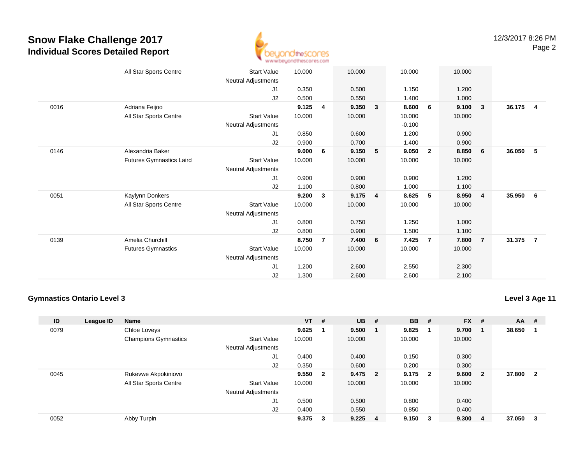

|      | All Star Sports Centre          | <b>Start Value</b>         | 10.000 |                | 10.000 |              | 10.000   |                | 10.000 |                         |        |                         |
|------|---------------------------------|----------------------------|--------|----------------|--------|--------------|----------|----------------|--------|-------------------------|--------|-------------------------|
|      |                                 | Neutral Adjustments        |        |                |        |              |          |                |        |                         |        |                         |
|      |                                 | J1                         | 0.350  |                | 0.500  |              | 1.150    |                | 1.200  |                         |        |                         |
|      |                                 | J2                         | 0.500  |                | 0.550  |              | 1.400    |                | 1.000  |                         |        |                         |
| 0016 | Adriana Feijoo                  |                            | 9.125  | $\overline{4}$ | 9.350  | $\mathbf{3}$ | 8.600    | 6              | 9.100  | $\mathbf{3}$            | 36.175 | $\overline{\mathbf{4}}$ |
|      | All Star Sports Centre          | Start Value                | 10.000 |                | 10.000 |              | 10.000   |                | 10.000 |                         |        |                         |
|      |                                 | Neutral Adjustments        |        |                |        |              | $-0.100$ |                |        |                         |        |                         |
|      |                                 | J1                         | 0.850  |                | 0.600  |              | 1.200    |                | 0.900  |                         |        |                         |
|      |                                 | J2                         | 0.900  |                | 0.700  |              | 1.400    |                | 0.900  |                         |        |                         |
| 0146 | Alexandria Baker                |                            | 9.000  | 6              | 9.150  | 5            | 9.050    | $\overline{2}$ | 8.850  | - 6                     | 36.050 | -5                      |
|      | <b>Futures Gymnastics Laird</b> | <b>Start Value</b>         | 10.000 |                | 10.000 |              | 10.000   |                | 10.000 |                         |        |                         |
|      |                                 | Neutral Adjustments        |        |                |        |              |          |                |        |                         |        |                         |
|      |                                 | J1                         | 0.900  |                | 0.900  |              | 0.900    |                | 1.200  |                         |        |                         |
|      |                                 | J2                         | 1.100  |                | 0.800  |              | 1.000    |                | 1.100  |                         |        |                         |
| 0051 | Kaylynn Donkers                 |                            | 9.200  | 3              | 9.175  | 4            | 8.625    | 5              | 8.950  | $\overline{\mathbf{4}}$ | 35.950 | - 6                     |
|      | All Star Sports Centre          | <b>Start Value</b>         | 10.000 |                | 10.000 |              | 10.000   |                | 10.000 |                         |        |                         |
|      |                                 | Neutral Adjustments        |        |                |        |              |          |                |        |                         |        |                         |
|      |                                 | J1                         | 0.800  |                | 0.750  |              | 1.250    |                | 1.000  |                         |        |                         |
|      |                                 | J2                         | 0.800  |                | 0.900  |              | 1.500    |                | 1.100  |                         |        |                         |
| 0139 | Amelia Churchill                |                            | 8.750  | $\overline{7}$ | 7.400  | 6            | 7.425    | $\overline{7}$ | 7.800  | $\overline{7}$          | 31.375 | $\overline{7}$          |
|      | <b>Futures Gymnastics</b>       | <b>Start Value</b>         | 10.000 |                | 10.000 |              | 10.000   |                | 10.000 |                         |        |                         |
|      |                                 | <b>Neutral Adjustments</b> |        |                |        |              |          |                |        |                         |        |                         |
|      |                                 | J <sub>1</sub>             | 1.200  |                | 2.600  |              | 2.550    |                | 2.300  |                         |        |                         |
|      |                                 | J <sub>2</sub>             | 1.300  |                | 2.600  |              | 2.600    |                | 2.100  |                         |        |                         |
|      |                                 |                            |        |                |        |              |          |                |        |                         |        |                         |

#### **Gymnastics Ontario Level 3**

| ID   | League ID | <b>Name</b>                 |                            | $VT$ # |              | <b>UB</b> | #                       | <b>BB</b> | - #                     | <b>FX</b> | #                       | <b>AA</b> | #                       |
|------|-----------|-----------------------------|----------------------------|--------|--------------|-----------|-------------------------|-----------|-------------------------|-----------|-------------------------|-----------|-------------------------|
| 0079 |           | Chloe Loveys                |                            | 9.625  |              | 9.500     |                         | 9.825     | -1                      | 9.700     |                         | 38.650    |                         |
|      |           | <b>Champions Gymnastics</b> | <b>Start Value</b>         | 10.000 |              | 10.000    |                         | 10.000    |                         | 10.000    |                         |           |                         |
|      |           |                             | <b>Neutral Adjustments</b> |        |              |           |                         |           |                         |           |                         |           |                         |
|      |           |                             | J1                         | 0.400  |              | 0.400     |                         | 0.150     |                         | 0.300     |                         |           |                         |
|      |           |                             | J2                         | 0.350  |              | 0.600     |                         | 0.200     |                         | 0.300     |                         |           |                         |
| 0045 |           | Rukevwe Akpokiniovo         |                            | 9.550  | $\mathbf{2}$ | 9.475     | $\overline{\mathbf{2}}$ | 9.175     | $\overline{\mathbf{2}}$ | 9.600     | $\overline{\mathbf{2}}$ | 37.800    | $\overline{\mathbf{2}}$ |
|      |           | All Star Sports Centre      | <b>Start Value</b>         | 10.000 |              | 10.000    |                         | 10.000    |                         | 10.000    |                         |           |                         |
|      |           |                             | <b>Neutral Adjustments</b> |        |              |           |                         |           |                         |           |                         |           |                         |
|      |           |                             | J1                         | 0.500  |              | 0.500     |                         | 0.800     |                         | 0.400     |                         |           |                         |
|      |           |                             | J2                         | 0.400  |              | 0.550     |                         | 0.850     |                         | 0.400     |                         |           |                         |
| 0052 |           | Abby Turpin                 |                            | 9.375  | 3            | 9.225     | - 4                     | 9.150     | $\overline{\mathbf{3}}$ | 9.300     | 4                       | 37.050    | -3                      |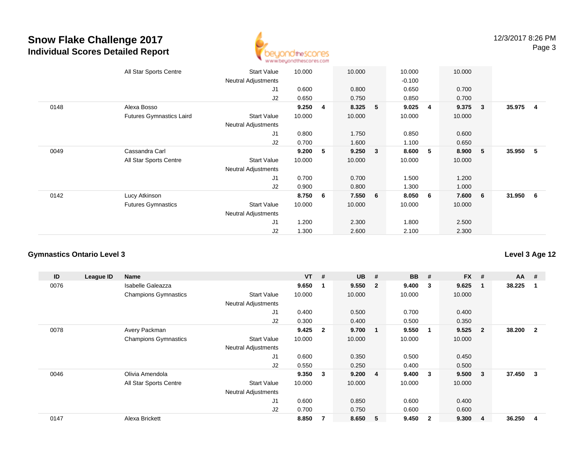

|      | All Star Sports Centre          | <b>Start Value</b><br><b>Neutral Adjustments</b> | 10.000 |   | 10.000  |   | 10.000<br>$-0.100$ |   | 10.000 |                 |          |  |
|------|---------------------------------|--------------------------------------------------|--------|---|---------|---|--------------------|---|--------|-----------------|----------|--|
|      |                                 | J1                                               | 0.600  |   | 0.800   |   | 0.650              |   | 0.700  |                 |          |  |
|      |                                 | J2                                               | 0.650  |   | 0.750   |   | 0.850              |   | 0.700  |                 |          |  |
| 0148 | Alexa Bosso                     |                                                  | 9.250  | 4 | 8.325   | 5 | 9.025              | 4 | 9.375  | 3 <sub>2</sub>  | 35.975 4 |  |
|      | <b>Futures Gymnastics Laird</b> | <b>Start Value</b><br><b>Neutral Adjustments</b> | 10.000 |   | 10.000  |   | 10.000             |   | 10.000 |                 |          |  |
|      |                                 | J1                                               | 0.800  |   | 1.750   |   | 0.850              |   | 0.600  |                 |          |  |
|      |                                 | J2                                               | 0.700  |   | 1.600   |   | 1.100              |   | 0.650  |                 |          |  |
| 0049 | Cassandra Carl                  |                                                  | 9.200  | 5 | 9.250   | 3 | 8.600              | 5 | 8.900  | - 5             | 35.950 5 |  |
|      | All Star Sports Centre          | <b>Start Value</b>                               | 10.000 |   | 10.000  |   | 10.000             |   | 10.000 |                 |          |  |
|      |                                 | <b>Neutral Adjustments</b>                       |        |   |         |   |                    |   |        |                 |          |  |
|      |                                 | J1                                               | 0.700  |   | 0.700   |   | 1.500              |   | 1.200  |                 |          |  |
|      |                                 | J2                                               | 0.900  |   | 0.800   |   | 1.300              |   | 1.000  |                 |          |  |
| 0142 | Lucy Atkinson                   |                                                  | 8.750  | 6 | 7.550 6 |   | 8.050              | 6 | 7.600  | $6\overline{6}$ | 31.950 6 |  |
|      | <b>Futures Gymnastics</b>       | <b>Start Value</b>                               | 10.000 |   | 10.000  |   | 10.000             |   | 10.000 |                 |          |  |
|      |                                 | <b>Neutral Adjustments</b>                       |        |   |         |   |                    |   |        |                 |          |  |
|      |                                 | J <sub>1</sub>                                   | 1.200  |   | 2.300   |   | 1.800              |   | 2.500  |                 |          |  |
|      |                                 | J2                                               | 1.300  |   | 2.600   |   | 2.100              |   | 2.300  |                 |          |  |

### **Gymnastics Ontario Level 3**

| ID   | League ID | <b>Name</b>                 |                            | <b>VT</b> | #                       | <b>UB</b> | #              | <b>BB</b> | #              | <b>FX</b> | #              | $AA$ # |                |
|------|-----------|-----------------------------|----------------------------|-----------|-------------------------|-----------|----------------|-----------|----------------|-----------|----------------|--------|----------------|
| 0076 |           | <b>Isabelle Galeazza</b>    |                            | 9.650     | $\overline{\mathbf{1}}$ | 9.550     | - 2            | 9.400     | 3              | 9.625     |                | 38.225 | -1             |
|      |           | <b>Champions Gymnastics</b> | <b>Start Value</b>         | 10.000    |                         | 10.000    |                | 10.000    |                | 10.000    |                |        |                |
|      |           |                             | <b>Neutral Adjustments</b> |           |                         |           |                |           |                |           |                |        |                |
|      |           |                             | J1                         | 0.400     |                         | 0.500     |                | 0.700     |                | 0.400     |                |        |                |
|      |           |                             | J2                         | 0.300     |                         | 0.400     |                | 0.500     |                | 0.350     |                |        |                |
| 0078 |           | Avery Packman               |                            | 9.425     | $\overline{2}$          | 9.700     | - 1            | 9.550     | $\mathbf 1$    | 9.525     | $\overline{2}$ | 38.200 | $\overline{2}$ |
|      |           | <b>Champions Gymnastics</b> | <b>Start Value</b>         | 10.000    |                         | 10.000    |                | 10.000    |                | 10.000    |                |        |                |
|      |           |                             | Neutral Adjustments        |           |                         |           |                |           |                |           |                |        |                |
|      |           |                             | J1                         | 0.600     |                         | 0.350     |                | 0.500     |                | 0.450     |                |        |                |
|      |           |                             | J2                         | 0.550     |                         | 0.250     |                | 0.400     |                | 0.500     |                |        |                |
| 0046 |           | Olivia Amendola             |                            | 9.350     | $\mathbf{3}$            | 9.200     | $\overline{4}$ | 9.400     | 3              | 9.500     | $\mathbf{3}$   | 37.450 | 3              |
|      |           | All Star Sports Centre      | Start Value                | 10.000    |                         | 10.000    |                | 10.000    |                | 10.000    |                |        |                |
|      |           |                             | <b>Neutral Adjustments</b> |           |                         |           |                |           |                |           |                |        |                |
|      |           |                             | J1                         | 0.600     |                         | 0.850     |                | 0.600     |                | 0.400     |                |        |                |
|      |           |                             | J2                         | 0.700     |                         | 0.750     |                | 0.600     |                | 0.600     |                |        |                |
| 0147 |           | Alexa Brickett              |                            | 8.850     | -7                      | 8.650     | -5             | 9.450     | $\overline{2}$ | 9.300     | 4              | 36.250 | 4              |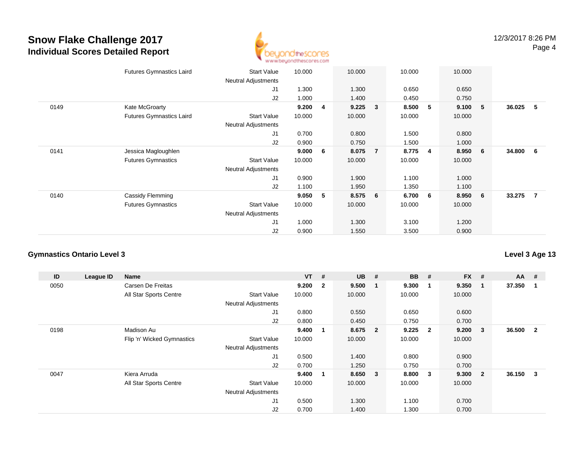

|      | <b>Futures Gymnastics Laird</b> | <b>Start Value</b><br><b>Neutral Adjustments</b> | 10.000 |   | 10.000 |                | 10.000 |   | 10.000 |   |          |   |
|------|---------------------------------|--------------------------------------------------|--------|---|--------|----------------|--------|---|--------|---|----------|---|
|      |                                 | J1                                               | 1.300  |   | 1.300  |                | 0.650  |   | 0.650  |   |          |   |
|      |                                 | J2                                               | 1.000  |   | 1.400  |                | 0.450  |   | 0.750  |   |          |   |
| 0149 | Kate McGroarty                  |                                                  | 9.200  | 4 | 9.225  | 3              | 8.500  | 5 | 9.100  | 5 | 36.025   | 5 |
|      | <b>Futures Gymnastics Laird</b> | <b>Start Value</b>                               | 10.000 |   | 10.000 |                | 10.000 |   | 10.000 |   |          |   |
|      |                                 | <b>Neutral Adjustments</b>                       |        |   |        |                |        |   |        |   |          |   |
|      |                                 | J <sub>1</sub>                                   | 0.700  |   | 0.800  |                | 1.500  |   | 0.800  |   |          |   |
|      |                                 | J2                                               | 0.900  |   | 0.750  |                | 1.500  |   | 1.000  |   |          |   |
| 0141 | Jessica Magloughlen             |                                                  | 9.000  | 6 | 8.075  | $\overline{7}$ | 8.775  | 4 | 8.950  | 6 | 34.800 6 |   |
|      | <b>Futures Gymnastics</b>       | <b>Start Value</b>                               | 10.000 |   | 10.000 |                | 10.000 |   | 10.000 |   |          |   |
|      |                                 | Neutral Adjustments                              |        |   |        |                |        |   |        |   |          |   |
|      |                                 | J1                                               | 0.900  |   | 1.900  |                | 1.100  |   | 1.000  |   |          |   |
|      |                                 | J2                                               | 1.100  |   | 1.950  |                | 1.350  |   | 1.100  |   |          |   |
| 0140 | Cassidy Flemming                |                                                  | 9.050  | 5 | 8.575  | 6              | 6.700  | 6 | 8.950  | 6 | 33.275 7 |   |
|      | <b>Futures Gymnastics</b>       | <b>Start Value</b>                               | 10.000 |   | 10.000 |                | 10.000 |   | 10.000 |   |          |   |
|      |                                 | <b>Neutral Adjustments</b>                       |        |   |        |                |        |   |        |   |          |   |
|      |                                 | J1                                               | 1.000  |   | 1.300  |                | 3.100  |   | 1.200  |   |          |   |
|      |                                 | J2                                               | 0.900  |   | 1.550  |                | 3.500  |   | 0.900  |   |          |   |
|      |                                 |                                                  |        |   |        |                |        |   |        |   |          |   |

#### **Gymnastics Ontario Level 3**

**ID League ID Name VT # UB # BB # FX # AA #** 0050 Carsen De Freitas **9.200 <sup>2</sup> 9.500 <sup>1</sup> 9.300 <sup>1</sup> 9.350 <sup>1</sup> 37.350 <sup>1</sup>** All Star Sports Centre Start Value 10.000 10.000 10.000 10.000 Neutral Adjustments J1 0.800 0.550 0.650 0.600 J2 0.800 0.450 0.750 0.700 0198 Madison Au **9.400 <sup>1</sup> 8.675 <sup>2</sup> 9.225 <sup>2</sup> 9.200 <sup>3</sup> 36.500 <sup>2</sup>** Flip 'n' Wicked Gymnastics Start Valuee 10.000 10.000 10.000 10.000 Neutral Adjustments J1 0.500 1.400 0.800 0.900 J2 0.700 1.250 0.750 0.700 0047 Kiera Arruda **9.400 <sup>1</sup> 8.650 <sup>3</sup> 8.800 <sup>3</sup> 9.300 <sup>2</sup> 36.150 <sup>3</sup>** All Star Sports Centre Start Value 10.000 10.000 10.000 10.000 Neutral Adjustments J1 0.500 1.300 1.100 0.700 J20.700 1.400 1.300 0.700